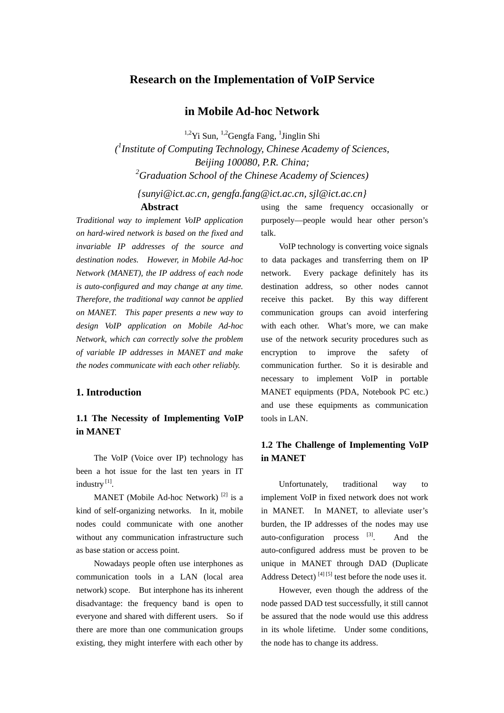## **Research on the Implementation of VoIP Service**

# **in Mobile Ad-hoc Network**

<sup>1,2</sup>Yi Sun, <sup>1,2</sup>Gengfa Fang, <sup>1</sup>Jinglin Shi

*( 1 Institute of Computing Technology, Chinese Academy of Sciences, Beijing 100080, P.R. China; 2 Graduation School of the Chinese Academy of Sciences)* 

*{sunyi@ict.ac.cn, gengfa.fang@ict.ac.cn, sjl@ict.ac.cn}*  **Abstract** 

*Traditional way to implement VoIP application on hard-wired network is based on the fixed and invariable IP addresses of the source and destination nodes. However, in Mobile Ad-hoc Network (MANET), the IP address of each node is auto-configured and may change at any time. Therefore, the traditional way cannot be applied on MANET. This paper presents a new way to design VoIP application on Mobile Ad-hoc Network, which can correctly solve the problem of variable IP addresses in MANET and make the nodes communicate with each other reliably.* 

### **1. Introduction**

# **1.1 The Necessity of Implementing VoIP in MANET**

The VoIP (Voice over IP) technology has been a hot issue for the last ten years in IT industry [1].

MANET (Mobile Ad-hoc Network)<sup>[2]</sup> is a kind of self-organizing networks. In it, mobile nodes could communicate with one another without any communication infrastructure such as base station or access point.

Nowadays people often use interphones as communication tools in a LAN (local area network) scope. But interphone has its inherent disadvantage: the frequency band is open to everyone and shared with different users. So if there are more than one communication groups existing, they might interfere with each other by using the same frequency occasionally or purposely—people would hear other person's talk.

VoIP technology is converting voice signals to data packages and transferring them on IP network. Every package definitely has its destination address, so other nodes cannot receive this packet. By this way different communication groups can avoid interfering with each other. What's more, we can make use of the network security procedures such as encryption to improve the safety of communication further. So it is desirable and necessary to implement VoIP in portable MANET equipments (PDA, Notebook PC etc.) and use these equipments as communication tools in LAN.

# **1.2 The Challenge of Implementing VoIP in MANET**

Unfortunately, traditional way to implement VoIP in fixed network does not work in MANET. In MANET, to alleviate user's burden, the IP addresses of the nodes may use auto-configuration process  $[3]$ . And the auto-configured address must be proven to be unique in MANET through DAD (Duplicate Address Detect)  $[4] [5]$  test before the node uses it.

 However, even though the address of the node passed DAD test successfully, it still cannot be assured that the node would use this address in its whole lifetime. Under some conditions, the node has to change its address.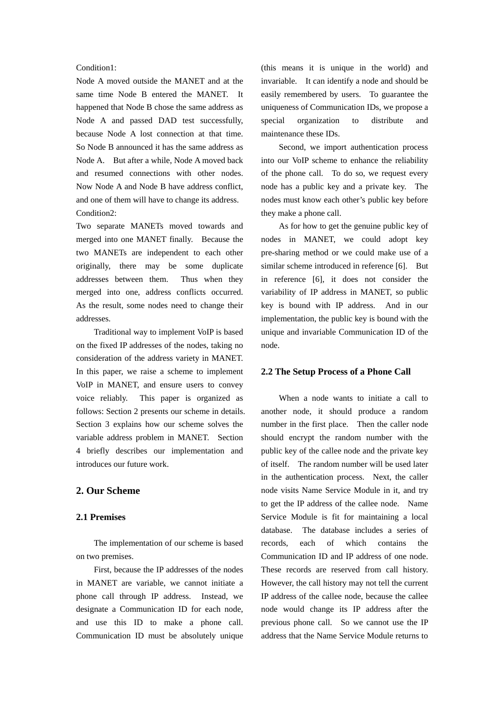#### Condition1:

Node A moved outside the MANET and at the same time Node B entered the MANET. It happened that Node B chose the same address as Node A and passed DAD test successfully, because Node A lost connection at that time. So Node B announced it has the same address as Node A. But after a while, Node A moved back and resumed connections with other nodes. Now Node A and Node B have address conflict, and one of them will have to change its address. Condition2:

Two separate MANETs moved towards and merged into one MANET finally. Because the two MANETs are independent to each other originally, there may be some duplicate addresses between them. Thus when they merged into one, address conflicts occurred. As the result, some nodes need to change their addresses.

 Traditional way to implement VoIP is based on the fixed IP addresses of the nodes, taking no consideration of the address variety in MANET. In this paper, we raise a scheme to implement VoIP in MANET, and ensure users to convey voice reliably. This paper is organized as follows: Section 2 presents our scheme in details. Section 3 explains how our scheme solves the variable address problem in MANET. Section 4 briefly describes our implementation and introduces our future work.

## **2. Our Scheme**

### **2.1 Premises**

The implementation of our scheme is based on two premises.

 First, because the IP addresses of the nodes in MANET are variable, we cannot initiate a phone call through IP address. Instead, we designate a Communication ID for each node, and use this ID to make a phone call. Communication ID must be absolutely unique

(this means it is unique in the world) and invariable. It can identify a node and should be easily remembered by users. To guarantee the uniqueness of Communication IDs, we propose a special organization to distribute and maintenance these IDs.

 Second, we import authentication process into our VoIP scheme to enhance the reliability of the phone call. To do so, we request every node has a public key and a private key. The nodes must know each other's public key before they make a phone call.

 As for how to get the genuine public key of nodes in MANET, we could adopt key pre-sharing method or we could make use of a similar scheme introduced in reference [6]. But in reference [6], it does not consider the variability of IP address in MANET, so public key is bound with IP address. And in our implementation, the public key is bound with the unique and invariable Communication ID of the node.

#### **2.2 The Setup Process of a Phone Call**

When a node wants to initiate a call to another node, it should produce a random number in the first place. Then the caller node should encrypt the random number with the public key of the callee node and the private key of itself. The random number will be used later in the authentication process. Next, the caller node visits Name Service Module in it, and try to get the IP address of the callee node. Name Service Module is fit for maintaining a local database. The database includes a series of records, each of which contains the Communication ID and IP address of one node. These records are reserved from call history. However, the call history may not tell the current IP address of the callee node, because the callee node would change its IP address after the previous phone call. So we cannot use the IP address that the Name Service Module returns to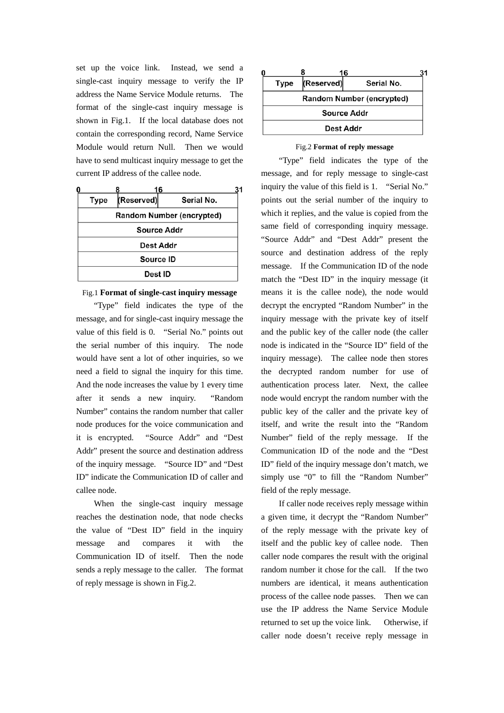set up the voice link. Instead, we send a single-cast inquiry message to verify the IP address the Name Service Module returns. The format of the single-cast inquiry message is shown in Fig.1. If the local database does not contain the corresponding record, Name Service Module would return Null. Then we would have to send multicast inquiry message to get the current IP address of the callee node.

| O |                                  |            | 16         | 31 |  |  |
|---|----------------------------------|------------|------------|----|--|--|
|   | <b>Type</b>                      | (Reserved) | Serial No. |    |  |  |
|   | <b>Random Number (encrypted)</b> |            |            |    |  |  |
|   | <b>Source Addr</b>               |            |            |    |  |  |
|   | <b>Dest Addr</b>                 |            |            |    |  |  |
|   | Source ID                        |            |            |    |  |  |
|   | Dest ID                          |            |            |    |  |  |

### Fig.1 **Format of single-cast inquiry message**

"Type" field indicates the type of the message, and for single-cast inquiry message the value of this field is 0. "Serial No." points out the serial number of this inquiry. The node would have sent a lot of other inquiries, so we need a field to signal the inquiry for this time. And the node increases the value by 1 every time after it sends a new inquiry. "Random Number" contains the random number that caller node produces for the voice communication and it is encrypted. "Source Addr" and "Dest Addr" present the source and destination address of the inquiry message. "Source ID" and "Dest ID" indicate the Communication ID of caller and callee node.

When the single-cast inquiry message reaches the destination node, that node checks the value of "Dest ID" field in the inquiry message and compares it with the Communication ID of itself. Then the node sends a reply message to the caller. The format of reply message is shown in Fig.2.

| 0 |                           |            | 16         |  |  |  |  |
|---|---------------------------|------------|------------|--|--|--|--|
|   | Type                      | (Reserved) | Serial No. |  |  |  |  |
|   | Random Number (encrypted) |            |            |  |  |  |  |
|   | Source Addr<br>Dest Addr  |            |            |  |  |  |  |
|   |                           |            |            |  |  |  |  |

#### Fig.2 **Format of reply message**

"Type" field indicates the type of the message, and for reply message to single-cast inquiry the value of this field is 1. "Serial No." points out the serial number of the inquiry to which it replies, and the value is copied from the same field of corresponding inquiry message. "Source Addr" and "Dest Addr" present the source and destination address of the reply message. If the Communication ID of the node match the "Dest ID" in the inquiry message (it means it is the callee node), the node would decrypt the encrypted "Random Number" in the inquiry message with the private key of itself and the public key of the caller node (the caller node is indicated in the "Source ID" field of the inquiry message). The callee node then stores the decrypted random number for use of authentication process later. Next, the callee node would encrypt the random number with the public key of the caller and the private key of itself, and write the result into the "Random Number" field of the reply message. If the Communication ID of the node and the "Dest ID" field of the inquiry message don't match, we simply use "0" to fill the "Random Number" field of the reply message.

If caller node receives reply message within a given time, it decrypt the "Random Number" of the reply message with the private key of itself and the public key of callee node. Then caller node compares the result with the original random number it chose for the call. If the two numbers are identical, it means authentication process of the callee node passes. Then we can use the IP address the Name Service Module returned to set up the voice link. Otherwise, if caller node doesn't receive reply message in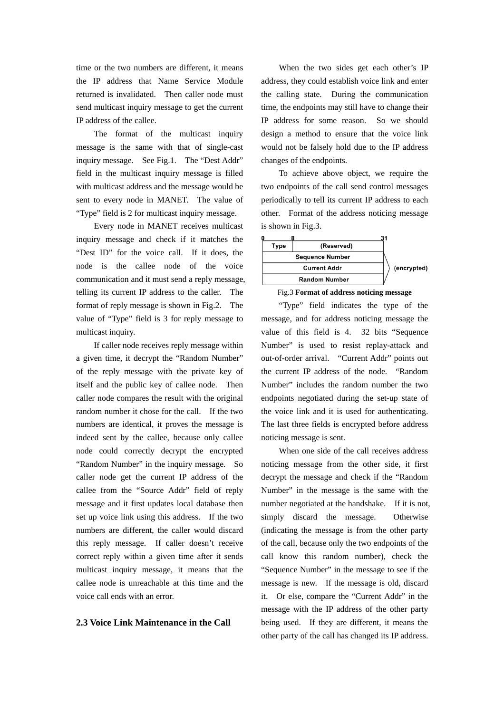time or the two numbers are different, it means the IP address that Name Service Module returned is invalidated. Then caller node must send multicast inquiry message to get the current IP address of the callee.

The format of the multicast inquiry message is the same with that of single-cast inquiry message. See Fig.1. The "Dest Addr" field in the multicast inquiry message is filled with multicast address and the message would be sent to every node in MANET. The value of "Type" field is 2 for multicast inquiry message.

Every node in MANET receives multicast inquiry message and check if it matches the "Dest ID" for the voice call. If it does, the node is the callee node of the voice communication and it must send a reply message, telling its current IP address to the caller. The format of reply message is shown in Fig.2. The value of "Type" field is 3 for reply message to multicast inquiry.

If caller node receives reply message within a given time, it decrypt the "Random Number" of the reply message with the private key of itself and the public key of callee node. Then caller node compares the result with the original random number it chose for the call. If the two numbers are identical, it proves the message is indeed sent by the callee, because only callee node could correctly decrypt the encrypted "Random Number" in the inquiry message. So caller node get the current IP address of the callee from the "Source Addr" field of reply message and it first updates local database then set up voice link using this address. If the two numbers are different, the caller would discard this reply message. If caller doesn't receive correct reply within a given time after it sends multicast inquiry message, it means that the callee node is unreachable at this time and the voice call ends with an error.

### **2.3 Voice Link Maintenance in the Call**

When the two sides get each other's IP address, they could establish voice link and enter the calling state. During the communication time, the endpoints may still have to change their IP address for some reason. So we should design a method to ensure that the voice link would not be falsely hold due to the IP address changes of the endpoints.

To achieve above object, we require the two endpoints of the call send control messages periodically to tell its current IP address to each other. Format of the address noticing message is shown in Fig.3.



Fig.3 **Format of address noticing message**

"Type" field indicates the type of the message, and for address noticing message the value of this field is 4. 32 bits "Sequence Number" is used to resist replay-attack and out-of-order arrival. "Current Addr" points out the current IP address of the node. "Random Number" includes the random number the two endpoints negotiated during the set-up state of the voice link and it is used for authenticating. The last three fields is encrypted before address noticing message is sent.

When one side of the call receives address noticing message from the other side, it first decrypt the message and check if the "Random Number" in the message is the same with the number negotiated at the handshake. If it is not, simply discard the message. Otherwise (indicating the message is from the other party of the call, because only the two endpoints of the call know this random number), check the "Sequence Number" in the message to see if the message is new. If the message is old, discard it. Or else, compare the "Current Addr" in the message with the IP address of the other party being used. If they are different, it means the other party of the call has changed its IP address.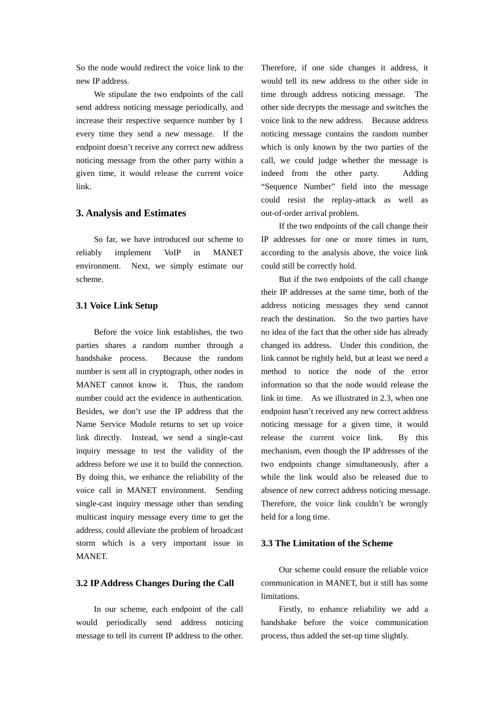So the node would redirect the voice link to the new IP address.

 We stipulate the two endpoints of the call send address noticing message periodically, and increase their respective sequence number by 1 every time they send a new message. If the endpoint doesn't receive any correct new address noticing message from the other party within a given time, it would release the current voice link.

#### **3. Analysis and Estimates**

So far, we have introduced our scheme to reliably implement VoIP in MANET environment. Next, we simply estimate our scheme.

### **3.1 Voice Link Setup**

Before the voice link establishes, the two parties shares a random number through a handshake process. Because the random number is sent all in cryptograph, other nodes in MANET cannot know it. Thus, the random number could act the evidence in authentication. Besides, we don't use the IP address that the Name Service Module returns to set up voice link directly. Instead, we send a single-cast inquiry message to test the validity of the address before we use it to build the connection. By doing this, we enhance the reliability of the voice call in MANET environment. Sending single-cast inquiry message other than sending multicast inquiry message every time to get the address, could alleviate the problem of broadcast storm which is a very important issue in MANET.

#### **3.2 IP Address Changes During the Call**

In our scheme, each endpoint of the call would periodically send address noticing message to tell its current IP address to the other. Therefore, if one side changes it address, it would tell its new address to the other side in time through address noticing message. The other side decrypts the message and switches the voice link to the new address. Because address noticing message contains the random number which is only known by the two parties of the call, we could judge whether the message is indeed from the other party. Adding "Sequence Number" field into the message could resist the replay-attack as well as out-of-order arrival problem.

 If the two endpoints of the call change their IP addresses for one or more times in turn, according to the analysis above, the voice link could still be correctly hold.

 But if the two endpoints of the call change their IP addresses at the same time, both of the address noticing messages they send cannot reach the destination. So the two parties have no idea of the fact that the other side has already changed its address. Under this condition, the link cannot be rightly held, but at least we need a method to notice the node of the error information so that the node would release the link in time. As we illustrated in 2.3, when one endpoint hasn't received any new correct address noticing message for a given time, it would release the current voice link. By this mechanism, even though the IP addresses of the two endpoints change simultaneously, after a while the link would also be released due to absence of new correct address noticing message. Therefore, the voice link couldn't be wrongly held for a long time.

### **3.3 The Limitation of the Scheme**

Our scheme could ensure the reliable voice communication in MANET, but it still has some limitations.

 Firstly, to enhance reliability we add a handshake before the voice communication process, thus added the set-up time slightly.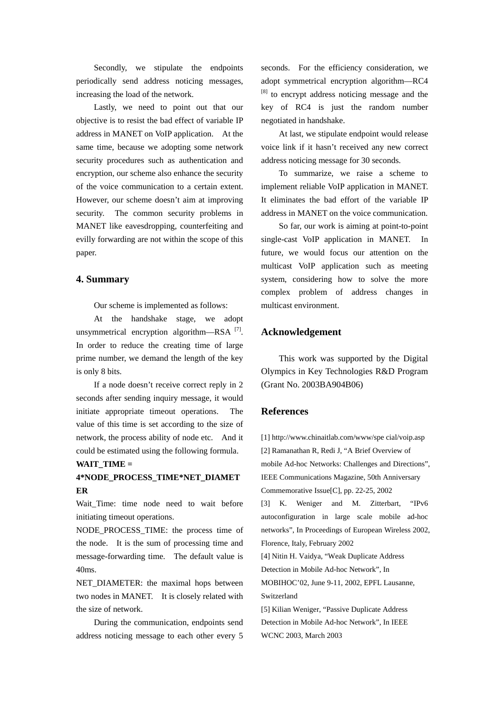Secondly, we stipulate the endpoints periodically send address noticing messages, increasing the load of the network.

 Lastly, we need to point out that our objective is to resist the bad effect of variable IP address in MANET on VoIP application. At the same time, because we adopting some network security procedures such as authentication and encryption, our scheme also enhance the security of the voice communication to a certain extent. However, our scheme doesn't aim at improving security. The common security problems in MANET like eavesdropping, counterfeiting and evilly forwarding are not within the scope of this paper.

### **4. Summary**

Our scheme is implemented as follows:

 At the handshake stage, we adopt unsymmetrical encryption algorithm—RSA [7]. In order to reduce the creating time of large prime number, we demand the length of the key is only 8 bits.

 If a node doesn't receive correct reply in 2 seconds after sending inquiry message, it would initiate appropriate timeout operations. The value of this time is set according to the size of network, the process ability of node etc. And it could be estimated using the following formula.

### **WAIT\_TIME =**

# **4\*NODE\_PROCESS\_TIME\*NET\_DIAMET ER**

Wait Time: time node need to wait before initiating timeout operations.

NODE PROCESS TIME: the process time of the node. It is the sum of processing time and message-forwarding time. The default value is 40ms.

NET\_DIAMETER: the maximal hops between two nodes in MANET. It is closely related with the size of network.

 During the communication, endpoints send address noticing message to each other every 5

seconds. For the efficiency consideration, we adopt symmetrical encryption algorithm—RC4 [8] to encrypt address noticing message and the key of RC4 is just the random number negotiated in handshake.

 At last, we stipulate endpoint would release voice link if it hasn't received any new correct address noticing message for 30 seconds.

 To summarize, we raise a scheme to implement reliable VoIP application in MANET. It eliminates the bad effort of the variable IP address in MANET on the voice communication.

 So far, our work is aiming at point-to-point single-cast VoIP application in MANET. In future, we would focus our attention on the multicast VoIP application such as meeting system, considering how to solve the more complex problem of address changes in multicast environment.

### **Acknowledgement**

 This work was supported by the Digital Olympics in Key Technologies R&D Program (Grant No. 2003BA904B06)

## **References**

[1] http://www.chinaitlab.com/www/spe cial/voip.asp [2] Ramanathan R, Redi J, "A Brief Overview of mobile Ad-hoc Networks: Challenges and Directions", IEEE Communications Magazine, 50th Anniversary Commemorative Issue[C], pp. 22-25, 2002 [3] K. Weniger and M. Zitterbart, "IPv6 autoconfiguration in large scale mobile ad-hoc networks", In Proceedings of European Wireless 2002, Florence, Italy, February 2002 [4] Nitin H. Vaidya, "Weak Duplicate Address Detection in Mobile Ad-hoc Network", In MOBIHOC'02, June 9-11, 2002, EPFL Lausanne, Switzerland [5] Kilian Weniger, "Passive Duplicate Address Detection in Mobile Ad-hoc Network", In IEEE WCNC 2003, March 2003